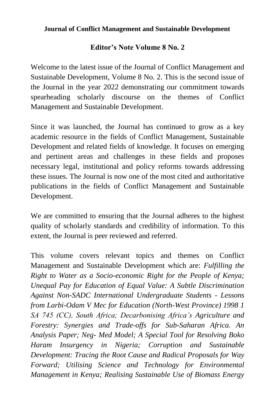## **Journal of Conflict Management and Sustainable Development**

## **Editor's Note Volume 8 No. 2**

Welcome to the latest issue of the Journal of Conflict Management and Sustainable Development, Volume 8 No. 2. This is the second issue of the Journal in the year 2022 demonstrating our commitment towards spearheading scholarly discourse on the themes of Conflict Management and Sustainable Development.

Since it was launched, the Journal has continued to grow as a key academic resource in the fields of Conflict Management, Sustainable Development and related fields of knowledge. It focuses on emerging and pertinent areas and challenges in these fields and proposes necessary legal, institutional and policy reforms towards addressing these issues. The Journal is now one of the most cited and authoritative publications in the fields of Conflict Management and Sustainable Development.

We are committed to ensuring that the Journal adheres to the highest quality of scholarly standards and credibility of information. To this extent, the Journal is peer reviewed and referred.

This volume covers relevant topics and themes on Conflict Management and Sustainable Development which are: *Fulfilling the Right to Water as a Socio-economic Right for the People of Kenya; Unequal Pay for Education of Equal Value: A Subtle Discrimination Against Non-SADC International Undergraduate Students - Lessons from Larbi-Odam V Mec for Education (North-West Province) 1998 1 SA 745 (CC), South Africa; Decarbonising Africa's Agriculture and Forestry: Synergies and Trade-offs for Sub-Saharan Africa. An Analysis Paper; Neg- Med Model; A Special Tool for Resolving Boko Haram Insurgency in Nigeria; Corruption and Sustainable Development: Tracing the Root Cause and Radical Proposals for Way Forward; Utilising Science and Technology for Environmental Management in Kenya; Realising Sustainable Use of Biomass Energy*